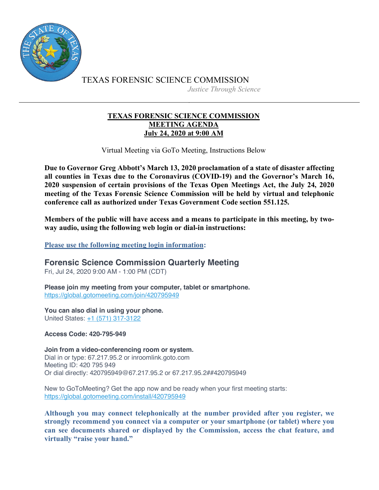

TEXAS FORENSIC SCIENCE COMMISSION *Justice Through Science*

## **TEXAS FORENSIC SCIENCE COMMISSION MEETING AGENDA July 24, 2020 at 9:00 AM**

Virtual Meeting via GoTo Meeting, Instructions Below

**Due to Governor Greg Abbott's March 13, 2020 proclamation of a state of disaster affecting all counties in Texas due to the Coronavirus (COVID-19) and the Governor's March 16, 2020 suspension of certain provisions of the Texas Open Meetings Act, the July 24, 2020 meeting of the Texas Forensic Science Commission will be held by virtual and telephonic conference call as authorized under Texas Government Code section 551.125.**

**Members of the public will have access and a means to participate in this meeting, by twoway audio, using the following web login or dial-in instructions:**

**Please use the following meeting login information:**

**Forensic Science Commission Quarterly Meeting**

Fri, Jul 24, 2020 9:00 AM - 1:00 PM (CDT)

**Please join my meeting from your computer, tablet or smartphone.** https://global.gotomeeting.com/join/420795949

**You can also dial in using your phone.** United States: +1 (571) 317-3122

**Access Code: 420-795-949**

**Join from a video-conferencing room or system.** Dial in or type: 67.217.95.2 or inroomlink.goto.com Meeting ID: 420 795 949 Or dial directly: 420795949@67.217.95.2 or 67.217.95.2##420795949

New to GoToMeeting? Get the app now and be ready when your first meeting starts: https://global.gotomeeting.com/install/420795949

**Although you may connect telephonically at the number provided after you register, we strongly recommend you connect via a computer or your smartphone (or tablet) where you can see documents shared or displayed by the Commission, access the chat feature, and virtually "raise your hand."**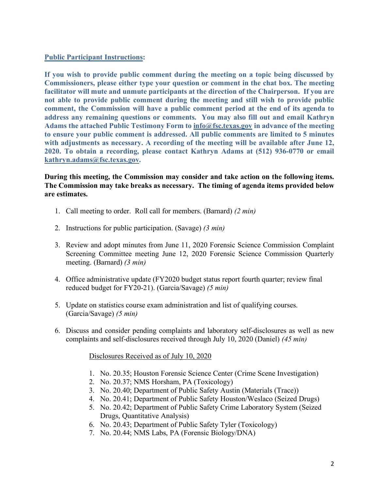## **Public Participant Instructions:**

**If you wish to provide public comment during the meeting on a topic being discussed by Commissioners, please either type your question or comment in the chat box. The meeting facilitator will mute and unmute participants at the direction of the Chairperson. If you are not able to provide public comment during the meeting and still wish to provide public comment, the Commission will have a public comment period at the end of its agenda to address any remaining questions or comments. You may also fill out and email Kathryn Adams the attached Public Testimony Form to info@fsc.texas.gov in advance of the meeting to ensure your public comment is addressed. All public comments are limited to 5 minutes with adjustments as necessary. A recording of the meeting will be available after June 12, 2020. To obtain a recording, please contact Kathryn Adams at (512) 936-0770 or email kathryn.adams@fsc.texas.gov.**

**During this meeting, the Commission may consider and take action on the following items. The Commission may take breaks as necessary. The timing of agenda items provided below are estimates.** 

- 1. Call meeting to order. Roll call for members. (Barnard) *(2 min)*
- 2. Instructions for public participation. (Savage) *(3 min)*
- 3. Review and adopt minutes from June 11, 2020 Forensic Science Commission Complaint Screening Committee meeting June 12, 2020 Forensic Science Commission Quarterly meeting. (Barnard) *(3 min)*
- 4. Office administrative update (FY2020 budget status report fourth quarter; review final reduced budget for FY20-21). (Garcia/Savage) *(5 min)*
- 5. Update on statistics course exam administration and list of qualifying courses. (Garcia/Savage) *(5 min)*
- 6. Discuss and consider pending complaints and laboratory self-disclosures as well as new complaints and self-disclosures received through July 10, 2020 (Daniel) *(45 min)*

Disclosures Received as of July 10, 2020

- 1. No. 20.35; Houston Forensic Science Center (Crime Scene Investigation)
- 2. No. 20.37; NMS Horsham, PA (Toxicology)
- 3. No. 20.40; Department of Public Safety Austin (Materials (Trace))
- 4. No. 20.41; Department of Public Safety Houston/Weslaco (Seized Drugs)
- 5. No. 20.42; Department of Public Safety Crime Laboratory System (Seized Drugs, Quantitative Analysis)
- 6. No. 20.43; Department of Public Safety Tyler (Toxicology)
- 7. No. 20.44; NMS Labs, PA (Forensic Biology/DNA)